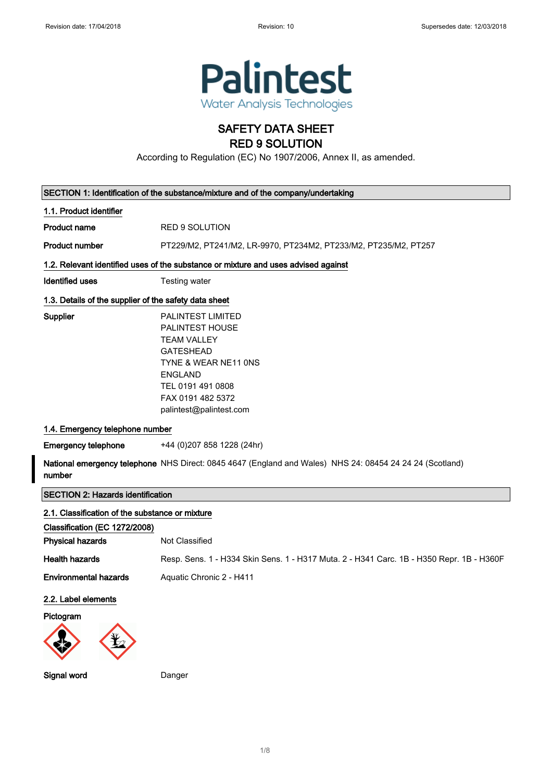

## SAFETY DATA SHEET RED 9 SOLUTION

According to Regulation (EC) No 1907/2006, Annex II, as amended.

|                                                       | SECTION 1: Identification of the substance/mixture and of the company/undertaking                                                                                                             |
|-------------------------------------------------------|-----------------------------------------------------------------------------------------------------------------------------------------------------------------------------------------------|
| 1.1. Product identifier                               |                                                                                                                                                                                               |
| <b>Product name</b>                                   | <b>RED 9 SOLUTION</b>                                                                                                                                                                         |
| <b>Product number</b>                                 | PT229/M2, PT241/M2, LR-9970, PT234M2, PT233/M2, PT235/M2, PT257                                                                                                                               |
|                                                       | 1.2. Relevant identified uses of the substance or mixture and uses advised against                                                                                                            |
| <b>Identified uses</b>                                | Testing water                                                                                                                                                                                 |
| 1.3. Details of the supplier of the safety data sheet |                                                                                                                                                                                               |
| Supplier                                              | PALINTEST LIMITED<br>PALINTEST HOUSE<br><b>TEAM VALLEY</b><br><b>GATESHEAD</b><br>TYNE & WEAR NE11 ONS<br><b>ENGLAND</b><br>TEL 0191 491 0808<br>FAX 0191 482 5372<br>palintest@palintest.com |
| 1.4. Emergency telephone number                       |                                                                                                                                                                                               |
| <b>Emergency telephone</b>                            | +44 (0)207 858 1228 (24hr)                                                                                                                                                                    |
| number                                                | National emergency telephone NHS Direct: 0845 4647 (England and Wales) NHS 24: 08454 24 24 24 (Scotland)                                                                                      |
| <b>SECTION 2: Hazards identification</b>              |                                                                                                                                                                                               |
| 2.1. Classification of the substance or mixture       |                                                                                                                                                                                               |
| Classification (EC 1272/2008)                         |                                                                                                                                                                                               |
| <b>Physical hazards</b>                               | Not Classified                                                                                                                                                                                |
| <b>Health hazards</b>                                 | Resp. Sens. 1 - H334 Skin Sens. 1 - H317 Muta. 2 - H341 Carc. 1B - H350 Repr. 1B - H360F                                                                                                      |
| <b>Environmental hazards</b>                          | Aquatic Chronic 2 - H411                                                                                                                                                                      |
| 2.2. Label elements<br>Pictogram                      |                                                                                                                                                                                               |
| Signal word                                           | Danger                                                                                                                                                                                        |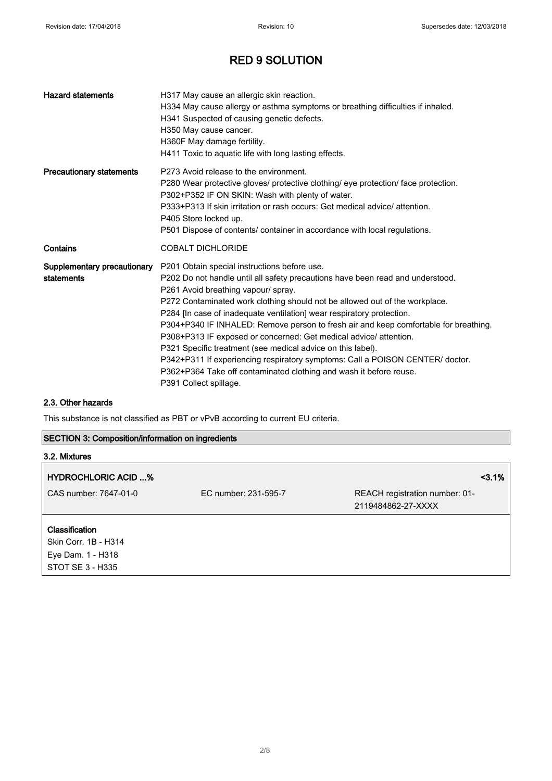| <b>Hazard statements</b>                  | H317 May cause an allergic skin reaction.<br>H334 May cause allergy or asthma symptoms or breathing difficulties if inhaled.<br>H341 Suspected of causing genetic defects.<br>H350 May cause cancer.<br>H360F May damage fertility.<br>H411 Toxic to aquatic life with long lasting effects.                                                                                                                                                                                                                                                                                                                                                                                                                                               |
|-------------------------------------------|--------------------------------------------------------------------------------------------------------------------------------------------------------------------------------------------------------------------------------------------------------------------------------------------------------------------------------------------------------------------------------------------------------------------------------------------------------------------------------------------------------------------------------------------------------------------------------------------------------------------------------------------------------------------------------------------------------------------------------------------|
| <b>Precautionary statements</b>           | P273 Avoid release to the environment.<br>P280 Wear protective gloves/ protective clothing/ eye protection/ face protection.<br>P302+P352 IF ON SKIN: Wash with plenty of water.<br>P333+P313 If skin irritation or rash occurs: Get medical advice/attention.<br>P405 Store locked up.<br>P501 Dispose of contents/ container in accordance with local regulations.                                                                                                                                                                                                                                                                                                                                                                       |
| Contains                                  | <b>COBALT DICHLORIDE</b>                                                                                                                                                                                                                                                                                                                                                                                                                                                                                                                                                                                                                                                                                                                   |
| Supplementary precautionary<br>statements | P201 Obtain special instructions before use.<br>P202 Do not handle until all safety precautions have been read and understood.<br>P261 Avoid breathing vapour/ spray.<br>P272 Contaminated work clothing should not be allowed out of the workplace.<br>P284 [In case of inadequate ventilation] wear respiratory protection.<br>P304+P340 IF INHALED: Remove person to fresh air and keep comfortable for breathing.<br>P308+P313 IF exposed or concerned: Get medical advice/ attention.<br>P321 Specific treatment (see medical advice on this label).<br>P342+P311 If experiencing respiratory symptoms: Call a POISON CENTER/ doctor.<br>P362+P364 Take off contaminated clothing and wash it before reuse.<br>P391 Collect spillage. |

#### 2.3. Other hazards

STOT SE 3 - H335

This substance is not classified as PBT or vPvB according to current EU criteria.

#### SECTION 3: Composition/information on ingredients

| 3.2. Mixtures              |                      |                                |
|----------------------------|----------------------|--------------------------------|
| <b>HYDROCHLORIC ACID %</b> |                      | 3.1%                           |
| CAS number: 7647-01-0      | EC number: 231-595-7 | REACH registration number: 01- |
|                            |                      | 2119484862-27-XXXX             |
| <b>Classification</b>      |                      |                                |
| Skin Corr. 1B - H314       |                      |                                |
| Eye Dam. 1 - H318          |                      |                                |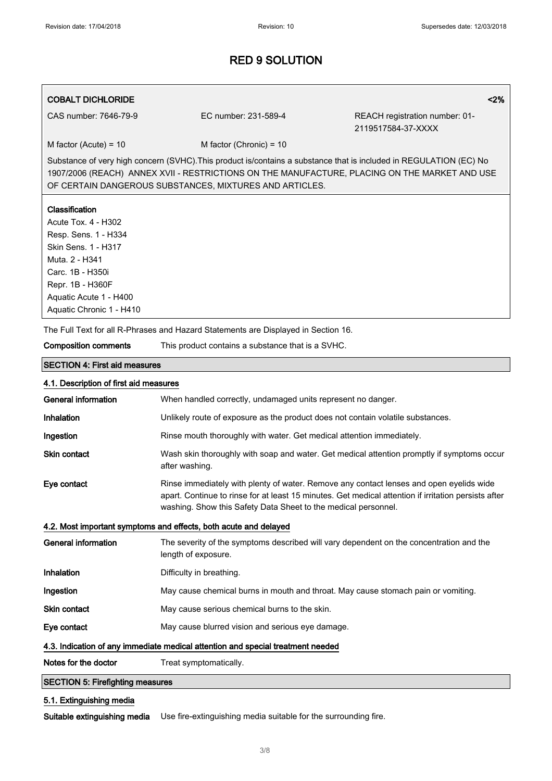#### COBALT DICHLORIDE <2%

CAS number: 7646-79-9 EC number: 231-589-4 REACH registration number: 01- 2119517584-37-XXXX

 $M$  factor (Acute) = 10 M factor (Chronic) = 10

Substance of very high concern (SVHC).This product is/contains a substance that is included in REGULATION (EC) No 1907/2006 (REACH) ANNEX XVII - RESTRICTIONS ON THE MANUFACTURE, PLACING ON THE MARKET AND USE OF CERTAIN DANGEROUS SUBSTANCES, MIXTURES AND ARTICLES.

#### **Classification**

Acute Tox. 4 - H302 Resp. Sens. 1 - H334 Skin Sens. 1 - H317 Muta. 2 - H341 Carc. 1B - H350i Repr. 1B - H360F Aquatic Acute 1 - H400 Aquatic Chronic 1 - H410

The Full Text for all R-Phrases and Hazard Statements are Displayed in Section 16.

| <b>Composition comments</b>                                                     | This product contains a substance that is a SVHC.                                                                                                                                                                                                                 |  |  |
|---------------------------------------------------------------------------------|-------------------------------------------------------------------------------------------------------------------------------------------------------------------------------------------------------------------------------------------------------------------|--|--|
| <b>SECTION 4: First aid measures</b>                                            |                                                                                                                                                                                                                                                                   |  |  |
| 4.1. Description of first aid measures                                          |                                                                                                                                                                                                                                                                   |  |  |
| <b>General information</b>                                                      | When handled correctly, undamaged units represent no danger.                                                                                                                                                                                                      |  |  |
| Inhalation                                                                      | Unlikely route of exposure as the product does not contain volatile substances.                                                                                                                                                                                   |  |  |
| Ingestion                                                                       | Rinse mouth thoroughly with water. Get medical attention immediately.                                                                                                                                                                                             |  |  |
| <b>Skin contact</b>                                                             | Wash skin thoroughly with soap and water. Get medical attention promptly if symptoms occur<br>after washing.                                                                                                                                                      |  |  |
| Eye contact                                                                     | Rinse immediately with plenty of water. Remove any contact lenses and open eyelids wide<br>apart. Continue to rinse for at least 15 minutes. Get medical attention if irritation persists after<br>washing. Show this Safety Data Sheet to the medical personnel. |  |  |
|                                                                                 | 4.2. Most important symptoms and effects, both acute and delayed                                                                                                                                                                                                  |  |  |
| <b>General information</b>                                                      | The severity of the symptoms described will vary dependent on the concentration and the<br>length of exposure.                                                                                                                                                    |  |  |
| Inhalation                                                                      | Difficulty in breathing.                                                                                                                                                                                                                                          |  |  |
| Ingestion                                                                       | May cause chemical burns in mouth and throat. May cause stomach pain or vomiting.                                                                                                                                                                                 |  |  |
| <b>Skin contact</b>                                                             | May cause serious chemical burns to the skin.                                                                                                                                                                                                                     |  |  |
| Eye contact                                                                     | May cause blurred vision and serious eye damage.                                                                                                                                                                                                                  |  |  |
| 4.3. Indication of any immediate medical attention and special treatment needed |                                                                                                                                                                                                                                                                   |  |  |
| Notes for the doctor                                                            | Treat symptomatically.                                                                                                                                                                                                                                            |  |  |
| <b>SECTION 5: Firefighting measures</b>                                         |                                                                                                                                                                                                                                                                   |  |  |
| 5.1. Extinguishing media                                                        |                                                                                                                                                                                                                                                                   |  |  |

Suitable extinguishing media Use fire-extinguishing media suitable for the surrounding fire.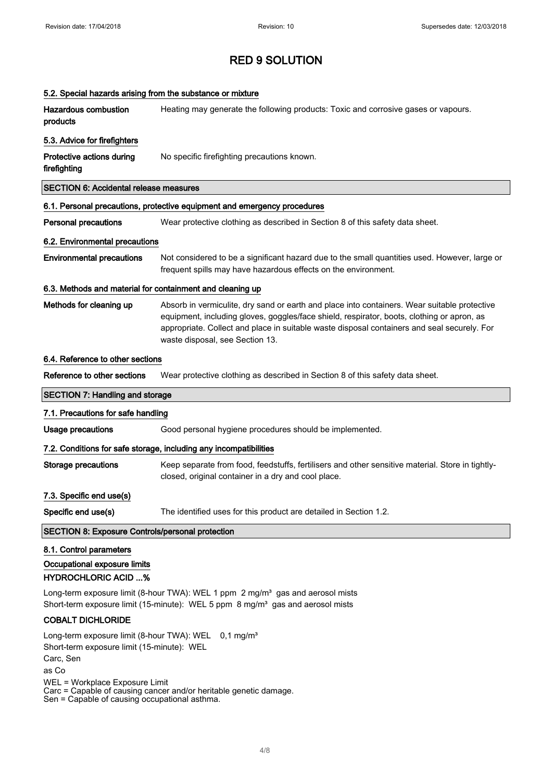|                                                                                                                                                                        | 5.2. Special hazards arising from the substance or mixture                                                                                                                                                                                                                                                                   |
|------------------------------------------------------------------------------------------------------------------------------------------------------------------------|------------------------------------------------------------------------------------------------------------------------------------------------------------------------------------------------------------------------------------------------------------------------------------------------------------------------------|
| <b>Hazardous combustion</b><br>products                                                                                                                                | Heating may generate the following products: Toxic and corrosive gases or vapours.                                                                                                                                                                                                                                           |
| 5.3. Advice for firefighters                                                                                                                                           |                                                                                                                                                                                                                                                                                                                              |
| Protective actions during<br>firefighting                                                                                                                              | No specific firefighting precautions known.                                                                                                                                                                                                                                                                                  |
| <b>SECTION 6: Accidental release measures</b>                                                                                                                          |                                                                                                                                                                                                                                                                                                                              |
|                                                                                                                                                                        | 6.1. Personal precautions, protective equipment and emergency procedures                                                                                                                                                                                                                                                     |
| <b>Personal precautions</b>                                                                                                                                            | Wear protective clothing as described in Section 8 of this safety data sheet.                                                                                                                                                                                                                                                |
| 6.2. Environmental precautions                                                                                                                                         |                                                                                                                                                                                                                                                                                                                              |
| <b>Environmental precautions</b>                                                                                                                                       | Not considered to be a significant hazard due to the small quantities used. However, large or<br>frequent spills may have hazardous effects on the environment.                                                                                                                                                              |
| 6.3. Methods and material for containment and cleaning up                                                                                                              |                                                                                                                                                                                                                                                                                                                              |
| Methods for cleaning up                                                                                                                                                | Absorb in vermiculite, dry sand or earth and place into containers. Wear suitable protective<br>equipment, including gloves, goggles/face shield, respirator, boots, clothing or apron, as<br>appropriate. Collect and place in suitable waste disposal containers and seal securely. For<br>waste disposal, see Section 13. |
| 6.4. Reference to other sections                                                                                                                                       |                                                                                                                                                                                                                                                                                                                              |
| Reference to other sections                                                                                                                                            | Wear protective clothing as described in Section 8 of this safety data sheet.                                                                                                                                                                                                                                                |
| <b>SECTION 7: Handling and storage</b>                                                                                                                                 |                                                                                                                                                                                                                                                                                                                              |
| 7.1. Precautions for safe handling                                                                                                                                     |                                                                                                                                                                                                                                                                                                                              |
| <b>Usage precautions</b>                                                                                                                                               | Good personal hygiene procedures should be implemented.                                                                                                                                                                                                                                                                      |
|                                                                                                                                                                        | 7.2. Conditions for safe storage, including any incompatibilities                                                                                                                                                                                                                                                            |
| <b>Storage precautions</b>                                                                                                                                             | Keep separate from food, feedstuffs, fertilisers and other sensitive material. Store in tightly-                                                                                                                                                                                                                             |
|                                                                                                                                                                        | closed, original container in a dry and cool place.                                                                                                                                                                                                                                                                          |
| 7.3. Specific end use(s)                                                                                                                                               |                                                                                                                                                                                                                                                                                                                              |
| Specific end use(s)                                                                                                                                                    | The identified uses for this product are detailed in Section 1.2.                                                                                                                                                                                                                                                            |
| <b>SECTION 8: Exposure Controls/personal protection</b>                                                                                                                |                                                                                                                                                                                                                                                                                                                              |
| 8.1. Control parameters<br>Occupational exposure limits<br><b>HYDROCHLORIC ACID %</b>                                                                                  |                                                                                                                                                                                                                                                                                                                              |
|                                                                                                                                                                        | Long-term exposure limit (8-hour TWA): WEL 1 ppm 2 mg/m <sup>3</sup> gas and aerosol mists<br>Short-term exposure limit (15-minute): WEL 5 ppm 8 mg/m <sup>3</sup> gas and aerosol mists                                                                                                                                     |
| <b>COBALT DICHLORIDE</b>                                                                                                                                               |                                                                                                                                                                                                                                                                                                                              |
| Long-term exposure limit (8-hour TWA): WEL 0,1 mg/m <sup>3</sup><br>Short-term exposure limit (15-minute): WEL<br>Carc, Sen<br>as Co<br>WEL = Workplace Exposure Limit | Carc = Capable of causing cancer and/or heritable genetic damage.                                                                                                                                                                                                                                                            |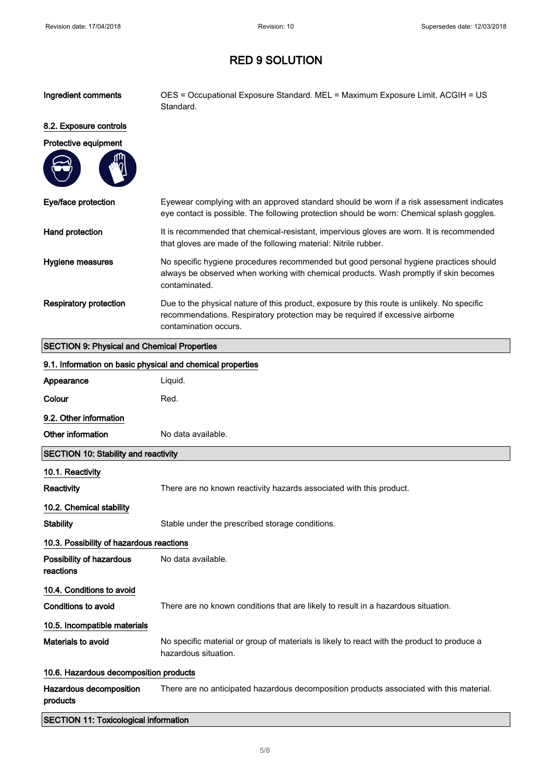| Ingredient comments                                        | OES = Occupational Exposure Standard. MEL = Maximum Exposure Limit. ACGIH = US<br>Standard.                                                                                                           |
|------------------------------------------------------------|-------------------------------------------------------------------------------------------------------------------------------------------------------------------------------------------------------|
| 8.2. Exposure controls                                     |                                                                                                                                                                                                       |
| Protective equipment                                       |                                                                                                                                                                                                       |
|                                                            |                                                                                                                                                                                                       |
| Eye/face protection                                        | Eyewear complying with an approved standard should be worn if a risk assessment indicates<br>eye contact is possible. The following protection should be worn: Chemical splash goggles.               |
| Hand protection                                            | It is recommended that chemical-resistant, impervious gloves are worn. It is recommended<br>that gloves are made of the following material: Nitrile rubber.                                           |
| Hygiene measures                                           | No specific hygiene procedures recommended but good personal hygiene practices should<br>always be observed when working with chemical products. Wash promptly if skin becomes<br>contaminated.       |
| <b>Respiratory protection</b>                              | Due to the physical nature of this product, exposure by this route is unlikely. No specific<br>recommendations. Respiratory protection may be required if excessive airborne<br>contamination occurs. |
| <b>SECTION 9: Physical and Chemical Properties</b>         |                                                                                                                                                                                                       |
| 9.1. Information on basic physical and chemical properties |                                                                                                                                                                                                       |
| Appearance                                                 | Liquid.                                                                                                                                                                                               |
| Colour                                                     | Red.                                                                                                                                                                                                  |
| 9.2. Other information                                     |                                                                                                                                                                                                       |
|                                                            |                                                                                                                                                                                                       |
| Other information                                          | No data available.                                                                                                                                                                                    |
| <b>SECTION 10: Stability and reactivity</b>                |                                                                                                                                                                                                       |
| 10.1. Reactivity                                           |                                                                                                                                                                                                       |
| <b>Reactivity</b>                                          | There are no known reactivity hazards associated with this product.                                                                                                                                   |
| 10.2. Chemical stability                                   |                                                                                                                                                                                                       |
| <b>Stability</b>                                           | Stable under the prescribed storage conditions.                                                                                                                                                       |
| 10.3. Possibility of hazardous reactions                   |                                                                                                                                                                                                       |
| Possibility of hazardous<br>reactions                      | No data available.                                                                                                                                                                                    |
| 10.4. Conditions to avoid                                  |                                                                                                                                                                                                       |
| <b>Conditions to avoid</b>                                 | There are no known conditions that are likely to result in a hazardous situation.                                                                                                                     |
| 10.5. Incompatible materials                               |                                                                                                                                                                                                       |
| Materials to avoid                                         | No specific material or group of materials is likely to react with the product to produce a<br>hazardous situation.                                                                                   |
| 10.6. Hazardous decomposition products                     |                                                                                                                                                                                                       |
| Hazardous decomposition<br>products                        | There are no anticipated hazardous decomposition products associated with this material.                                                                                                              |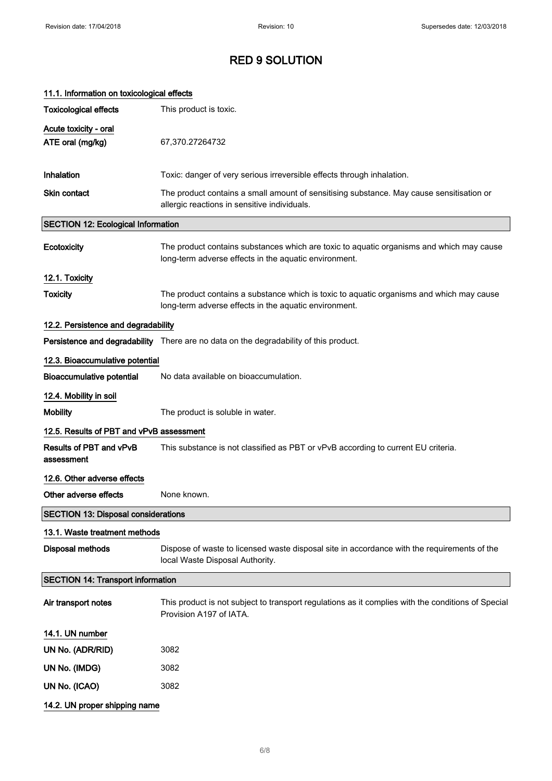| 11.1. Information on toxicological effects |                                                                                                                                                   |
|--------------------------------------------|---------------------------------------------------------------------------------------------------------------------------------------------------|
| <b>Toxicological effects</b>               | This product is toxic.                                                                                                                            |
| Acute toxicity - oral<br>ATE oral (mg/kg)  | 67,370.27264732                                                                                                                                   |
| Inhalation                                 | Toxic: danger of very serious irreversible effects through inhalation.                                                                            |
| Skin contact                               | The product contains a small amount of sensitising substance. May cause sensitisation or<br>allergic reactions in sensitive individuals.          |
| <b>SECTION 12: Ecological Information</b>  |                                                                                                                                                   |
| Ecotoxicity                                | The product contains substances which are toxic to aquatic organisms and which may cause<br>long-term adverse effects in the aquatic environment. |
| 12.1. Toxicity                             |                                                                                                                                                   |
| <b>Toxicity</b>                            | The product contains a substance which is toxic to aquatic organisms and which may cause<br>long-term adverse effects in the aquatic environment. |
| 12.2. Persistence and degradability        |                                                                                                                                                   |
|                                            | Persistence and degradability There are no data on the degradability of this product.                                                             |
| 12.3. Bioaccumulative potential            |                                                                                                                                                   |
| <b>Bioaccumulative potential</b>           | No data available on bioaccumulation.                                                                                                             |
| 12.4. Mobility in soil                     |                                                                                                                                                   |
| <b>Mobility</b>                            | The product is soluble in water.                                                                                                                  |
| 12.5. Results of PBT and vPvB assessment   |                                                                                                                                                   |
| Results of PBT and vPvB<br>assessment      | This substance is not classified as PBT or vPvB according to current EU criteria.                                                                 |
| 12.6. Other adverse effects                |                                                                                                                                                   |
| Other adverse effects                      | None known.                                                                                                                                       |
| <b>SECTION 13: Disposal considerations</b> |                                                                                                                                                   |
| 13.1. Waste treatment methods              |                                                                                                                                                   |
| <b>Disposal methods</b>                    | Dispose of waste to licensed waste disposal site in accordance with the requirements of the<br>local Waste Disposal Authority.                    |
| <b>SECTION 14: Transport information</b>   |                                                                                                                                                   |
| Air transport notes                        | This product is not subject to transport regulations as it complies with the conditions of Special<br>Provision A197 of IATA.                     |
| 14.1. UN number                            |                                                                                                                                                   |
| UN No. (ADR/RID)                           | 3082                                                                                                                                              |
| UN No. (IMDG)                              | 3082                                                                                                                                              |
| UN No. (ICAO)                              | 3082                                                                                                                                              |
| 14.2. UN proper shipping name              |                                                                                                                                                   |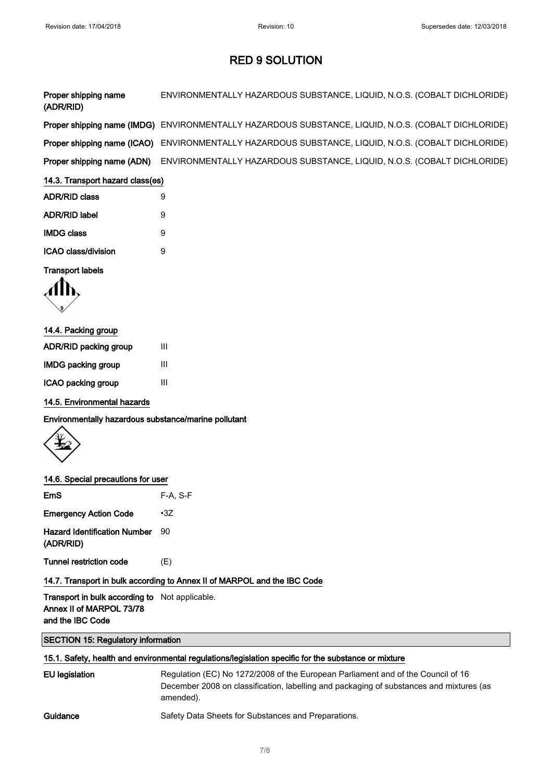| Proper shipping name<br>(ADR/RID) | ENVIRONMENTALLY HAZARDOUS SUBSTANCE, LIQUID, N.O.S. (COBALT DICHLORIDE)                             |
|-----------------------------------|-----------------------------------------------------------------------------------------------------|
|                                   | Proper shipping name (IMDG) ENVIRONMENTALLY HAZARDOUS SUBSTANCE, LIQUID, N.O.S. (COBALT DICHLORIDE) |
|                                   | Proper shipping name (ICAO) ENVIRONMENTALLY HAZARDOUS SUBSTANCE, LIQUID, N.O.S. (COBALT DICHLORIDE) |
| Proper shipping name (ADN)        | ENVIRONMENTALLY HAZARDOUS SUBSTANCE, LIQUID, N.O.S. (COBALT DICHLORIDE)                             |

| <b>ADR/RID class</b> | 9 |
|----------------------|---|
| <b>ADR/RID label</b> | 9 |
| <b>IMDG class</b>    | 9 |
| ICAO class/division  | я |
|                      |   |

#### Transport labels



#### 14.4. Packing group

| <b>ADR/RID packing group</b> | Ш |
|------------------------------|---|
| <b>IMDG packing group</b>    | ш |
| ICAO packing group           | ш |

#### 14.5. Environmental hazards

Environmentally hazardous substance/marine pollutant



#### 14.6. Special precautions for user

| <b>EmS</b>                                       | $F-A. S-F$ |
|--------------------------------------------------|------------|
| <b>Emergency Action Code</b>                     | $\cdot 37$ |
| <b>Hazard Identification Number</b><br>(ADR/RID) | 90         |
| <b>Tunnel restriction code</b>                   | (F)        |

### 14.7. Transport in bulk according to Annex II of MARPOL and the IBC Code

Transport in bulk according to Not applicable. Annex II of MARPOL 73/78 and the IBC Code

#### SECTION 15: Regulatory information

#### 15.1. Safety, health and environmental regulations/legislation specific for the substance or mixture

| <b>EU</b> legislation | Regulation (EC) No 1272/2008 of the European Parliament and of the Council of 16<br>December 2008 on classification, labelling and packaging of substances and mixtures (as<br>amended). |
|-----------------------|------------------------------------------------------------------------------------------------------------------------------------------------------------------------------------------|
| Guidance              | Safety Data Sheets for Substances and Preparations.                                                                                                                                      |